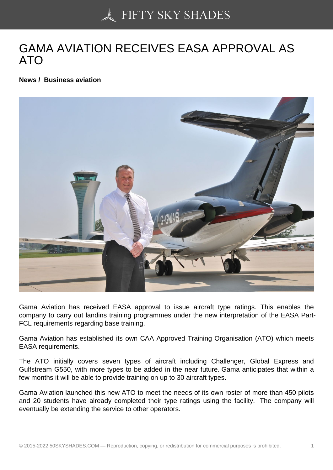## [GAMA AVIATION REC](https://50skyshades.com)EIVES EASA APPROVAL AS ATO

News / Business aviation

Gama Aviation has received EASA approval to issue aircraft type ratings. This enables the company to carry out landins training programmes under the new interpretation of the EASA Part-FCL requirements regarding base training.

Gama Aviation has established its own CAA Approved Training Organisation (ATO) which meets EASA requirements.

The ATO initially covers seven types of aircraft including Challenger, Global Express and Gulfstream G550, with more types to be added in the near future. Gama anticipates that within a few months it will be able to provide training on up to 30 aircraft types.

Gama Aviation launched this new ATO to meet the needs of its own roster of more than 450 pilots and 20 students have already completed their type ratings using the facility. The company will eventually be extending the service to other operators.